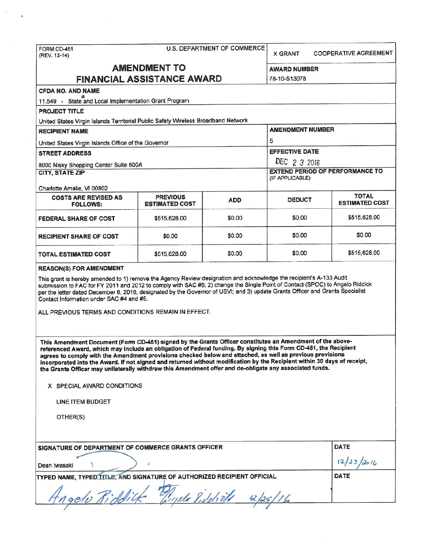| FORM CD-451<br>(REV. 12-14)                                                                                                                                                                                                                                                                                                                                                                                                                                                                                                                                                                                     | U.S. DEPARTMENT OF COMMERCE              | <b>X GRANT</b> | <b>COOPERATIVE AGREEMENT</b>                           |                                       |  |  |  |
|-----------------------------------------------------------------------------------------------------------------------------------------------------------------------------------------------------------------------------------------------------------------------------------------------------------------------------------------------------------------------------------------------------------------------------------------------------------------------------------------------------------------------------------------------------------------------------------------------------------------|------------------------------------------|----------------|--------------------------------------------------------|---------------------------------------|--|--|--|
| <b>AMENDMENT TO</b>                                                                                                                                                                                                                                                                                                                                                                                                                                                                                                                                                                                             |                                          |                | AWARD NUMBER                                           |                                       |  |  |  |
|                                                                                                                                                                                                                                                                                                                                                                                                                                                                                                                                                                                                                 | <b>FINANCIAL ASSISTANCE AWARD</b>        |                | 78-10-S13078                                           |                                       |  |  |  |
| <b>CFDA NO. AND NAME</b>                                                                                                                                                                                                                                                                                                                                                                                                                                                                                                                                                                                        |                                          |                |                                                        |                                       |  |  |  |
| 11.549 - State and Local Implementation Grant Program                                                                                                                                                                                                                                                                                                                                                                                                                                                                                                                                                           |                                          |                |                                                        |                                       |  |  |  |
| <b>PROJECT TITLE</b>                                                                                                                                                                                                                                                                                                                                                                                                                                                                                                                                                                                            |                                          |                |                                                        |                                       |  |  |  |
| United States Virgin Islands Territorial Public Safety Wireless Broadband Network                                                                                                                                                                                                                                                                                                                                                                                                                                                                                                                               |                                          |                |                                                        |                                       |  |  |  |
| <b>RECIPIENT NAME</b>                                                                                                                                                                                                                                                                                                                                                                                                                                                                                                                                                                                           |                                          |                | <b>AMENDMENT NUMBER</b>                                |                                       |  |  |  |
| United States Virgin Islands Office of the Governor                                                                                                                                                                                                                                                                                                                                                                                                                                                                                                                                                             |                                          |                | 5                                                      |                                       |  |  |  |
| <b>STREET ADDRESS</b>                                                                                                                                                                                                                                                                                                                                                                                                                                                                                                                                                                                           |                                          |                | <b>EFFECTIVE DATE</b>                                  |                                       |  |  |  |
| 8000 Nisky Shopping Center Suite 600A                                                                                                                                                                                                                                                                                                                                                                                                                                                                                                                                                                           |                                          |                | DEC 2 3 2016<br><b>EXTEND PERIOD OF PERFORMANCE TO</b> |                                       |  |  |  |
| <b>CITY, STATE ZIP</b>                                                                                                                                                                                                                                                                                                                                                                                                                                                                                                                                                                                          |                                          |                | (IF APPLICABLE)                                        |                                       |  |  |  |
| Charlotte Amalie, VI 00802                                                                                                                                                                                                                                                                                                                                                                                                                                                                                                                                                                                      |                                          |                |                                                        |                                       |  |  |  |
| <b>COSTS ARE REVISED AS</b><br><b>FOLLOWS:</b>                                                                                                                                                                                                                                                                                                                                                                                                                                                                                                                                                                  | <b>PREVIOUS</b><br><b>ESTIMATED COST</b> | <b>ADD</b>     | <b>DEDUCT</b>                                          | <b>TOTAL</b><br><b>ESTIMATED COST</b> |  |  |  |
| FEDERAL SHARE OF COST                                                                                                                                                                                                                                                                                                                                                                                                                                                                                                                                                                                           | \$515,628.00                             | \$0.00         | \$0.00                                                 | \$515,628.00                          |  |  |  |
| <b>RECIPIENT SHARE OF COST</b>                                                                                                                                                                                                                                                                                                                                                                                                                                                                                                                                                                                  | \$0.00                                   | \$0.00         | \$0.00                                                 | \$0.00                                |  |  |  |
| <b>TOTAL ESTIMATED COST</b>                                                                                                                                                                                                                                                                                                                                                                                                                                                                                                                                                                                     | \$515,628.00                             | \$0.00         | \$0.00                                                 | \$515,628.00                          |  |  |  |
| This grant is hereby amended to 1) remove the Agency Review designation and acknowledge the recipient's A-133 Audit<br>submission to FAC for FY 2011 and 2012 to comply with SAC #6; 2) change the Single Point of Contact (SPOC) to Angelo Riddick<br>per the letter dated December 6, 2016, designated by the Governor of USVI; and 3) update Grants Officer and Grants Specialist<br>Contact Information under SAC #4 and #5.<br>ALL PREVIOUS TERMS AND CONDITIONS REMAIN IN EFFECT.                                                                                                                         |                                          |                |                                                        |                                       |  |  |  |
| This Amendment Document (Form CD-451) signed by the Grants Officer constitutes an Amendment of the above-<br>referenced Award, which may include an obligation of Federal funding. By signing this Form CD-451, the Recipient<br>agrees to comply with the Amendment provisions checked below and attached, as well as previous provisions<br>incorporated into the Award. If not signed and returned without modification by the Recipient within 30 days of receipt,<br>the Grants Officer may unilaterally withdraw this Amendment offer and de-obligate any associated funds.<br>X SPECIAL AWARD CONDITIONS |                                          |                |                                                        |                                       |  |  |  |
| LINE ITEM BUDGET                                                                                                                                                                                                                                                                                                                                                                                                                                                                                                                                                                                                |                                          |                |                                                        |                                       |  |  |  |
| OTHER(S)                                                                                                                                                                                                                                                                                                                                                                                                                                                                                                                                                                                                        |                                          |                |                                                        |                                       |  |  |  |
| SIGNATURE OF DEPARTMENT OF COMMERCE GRANTS OFFICER                                                                                                                                                                                                                                                                                                                                                                                                                                                                                                                                                              |                                          |                |                                                        | DATE                                  |  |  |  |
| Dean Iwasaki                                                                                                                                                                                                                                                                                                                                                                                                                                                                                                                                                                                                    | 12/23/2016                               |                |                                                        |                                       |  |  |  |
| TYPED NAME, TYPED TITLE, AND SIGNATURE OF AUTHORIZED RECIPIENT OFFICIAL                                                                                                                                                                                                                                                                                                                                                                                                                                                                                                                                         | DATE                                     |                |                                                        |                                       |  |  |  |
|                                                                                                                                                                                                                                                                                                                                                                                                                                                                                                                                                                                                                 |                                          |                |                                                        |                                       |  |  |  |

 $\tilde{e}$ 

 $\overline{\phantom{a}}$